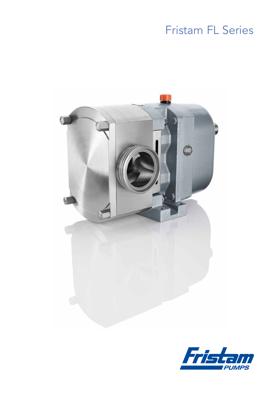# **Fristam FL Series**



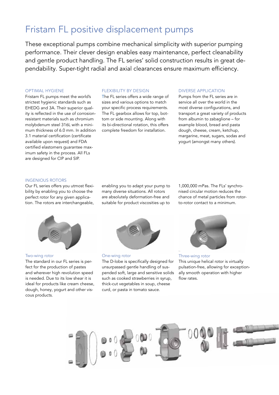# Fristam FL positive displacement pumps

These exceptional pumps combine mechanical simplicity with superior pumping performance. Their clever design enables easy maintenance, perfect cleanability and gentle product handling. The FL series' solid construction results in great dependability. Super-tight radial and axial clearances ensure maximum efficiency.

#### OPTIMAL HYGIENE

Fristam FL pumps meet the world's strictest hygienic standards such as EHEDG and 3A. Their superior quality is reflected in the use of corrosionresistant materials such as chromium molybdenum steel 316L with a minimum thickness of 6.0 mm. In addition 3.1 material certification (certificate available upon request) and FDA certified elastomers guarantee maximum safety in the process. All FLs are designed for CIP and SIP.

#### FLEXIBILITY by DESIGN

The FL series offers a wide range of sizes and various options to match your specific process requirements. The FL gearbox allows for top, bottom or side mounting. Along with its bi-directional rotation, this offers complete freedom for installation.

#### DIVERSE APPLICATION

Pumps from the FL series are in service all over the world in the most diverse configurations, and transport a great variety of products from albumin to zabaglione – for example blood, bread and pasta dough, cheese, cream, ketchup, margarine, meat, sugars, sodas and yogurt (amongst many others).

#### INGENIOUS ROTORS

Our FL series offers you utmost flexibility by enabling you to choose the perfect rotor for any given application. The rotors are interchangeable,

enabling you to adapt your pump to many diverse situations. All rotors are absolutely deformation-free and suitable for product viscosities up to 1,000,000 mPas. The FLs' synchronised circular motion reduces the chance of metal particles from rotorto-rotor contact to a minimum.



#### Two-wing rotor

The standard in our FL series is perfect for the production of pastes and wherever high revolution speed is needed. Due to its low shear it is ideal for products like cream cheese, dough, honey, yogurt and other viscous products.



### One-wing rotor The D-lobe is specifically designed for unsurpassed gentle handling of suspended soft, large and sensitive solids such as cooked strawberries in syrup, thick-cut vegetables in soup, cheese curd, or pasta in tomato sauce.



Three-wing rotor This unique helical rotor is virtually pulsation-free, allowing for exceptionally smooth operation with higher flow rates.

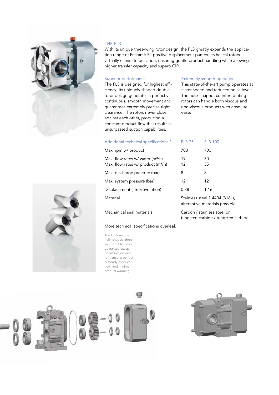

#### THE FL3

With its unique three-wing rotor design, the FL3 greatly expands the application range of Fristam's FL positive displacement pumps. Its helical rotors virtually eliminate pulsation, ensuring gentle product handling while allowing higher transfer capacity and superb CIP.

#### Superior performance

The FL3 is designed for highest efficiency. Its uniquely shaped double rotor design generates a perfectly continuous, smooth movement and guarantees extremely precise tight clearance. The rotors never close against each other, producing a constant product flow that results in unsurpassed suction capabilities.

#### Extremely smooth operation

This state-of-the-art pump operates at faster speed and reduced noise levels. The helix-shaped, counter-rotating rotors can handle both viscous and non-viscous products with absolute ease.

FL3 100

| Additional technical specifications *                                      | <b>FL375</b>                                                     | FL3 100  |  |
|----------------------------------------------------------------------------|------------------------------------------------------------------|----------|--|
| Max. rpm w/ product                                                        | 700                                                              | 700      |  |
| Max. flow rates w/ water $(m^3/h)$<br>Max. flow rates w/ product $(m^3/h)$ | 19<br>12                                                         | 50<br>35 |  |
| Max. discharge pressure (bar)                                              | 8                                                                | 8        |  |
| Max. system pressure (bar)                                                 | 12                                                               | 12       |  |
| Displacement (litre/revolution)                                            | 0.38                                                             | 1.16     |  |
| Material                                                                   | Stainless steel 1.4404 (316L),<br>alternative materials possible |          |  |

More technical specifications overleaf.

The FL3's unique helix-shaped, threewing double rotors guarantee exceptional suction performance, a perfectly steady product flow, and minimal product warming.



materials possible

Mechanical seal materials Carbon / stainless steel or tungsten carbide / tungsten carbide